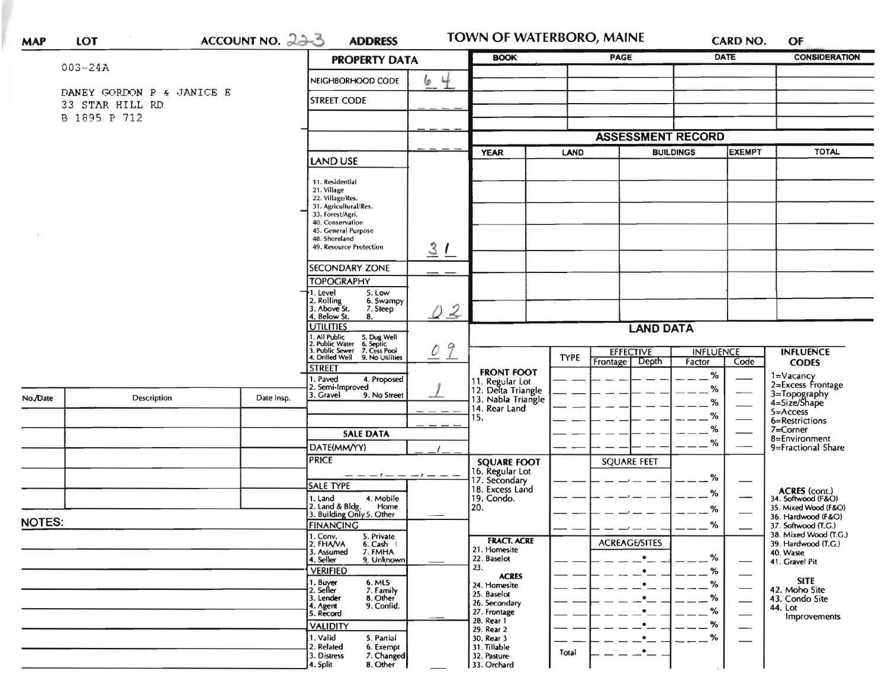| DATE<br><b>CONSIDERATION</b><br><b>BOOK</b><br>PAGE<br><b>PROPERTY DATA</b><br>$003 - 24A$<br>4<br>NEIGHBORHOOD CODE<br>6<br>DANEY GORDON P & JANICE E<br><b>STREET CODE</b><br>33 STAR HILL RD<br>B 1895 P 712<br><b>ASSESSMENT RECORD</b><br><b>EXEMPT</b><br><b>TOTAL</b><br><b>BUILDINGS</b><br><b>YEAR</b><br>LAND<br>LAND USE<br>11. Residential<br>21. Village<br>22. Village/Res.<br>31. Agricultural/Res.<br>33. Forest/Agri.<br>40. Conservation<br>45. General Purpose<br>48. Shoreland<br>31<br>49. Resource Protection<br><b>SECONDARY ZONE</b><br><b>TOPOGRAPHY</b><br>1. Level<br>5. Low<br>2. Rolling<br>3. Above St.<br>6. Swampy<br>7. Steep<br>02<br>4. Below St.<br>8.<br><b>UTILITIES</b><br><b>LAND DATA</b><br>1. All Public<br>2. Public Water<br>3. Public Sewer<br>4. Drilled Well<br>5. Dug Well<br>6. Septic<br>7. Cess Pool<br>02<br><b>EFFECTIVE</b><br><b>INFLUENCE</b><br><b>INFLUENCE</b><br><b>TYPE</b><br>9. No Utilities<br>Depth<br>Frontage<br>Factor<br>Code<br><b>CODES</b><br><b>STREET</b><br><b>FRONT FOOT</b><br>%<br>1=Vacancy<br>2=Excess Frontage<br>. Paved<br>4. Proposed<br>11. Regular Lot<br>12. Delta Triangle<br>13. Nabla Triangle<br>2. Semi-Improved<br>%<br>3=Topography<br>4=Size/Shape<br>3. Gravel<br>9. No Street<br><b>Description</b><br>Date Insp.<br>%<br>14. Rear Land<br>5=Access<br>%<br>15.<br>6=Restrictions<br>%<br>7=Corner<br><b>SALE DATA</b><br>8=Environment<br>$\%$<br>DATE(MM/YY)<br>9=Fractional Share<br><b>PRICE</b><br><b>SQUARE FEET</b><br><b>SQUARE FOOT</b><br>16. Regular Lot<br>17. Secondary<br>%<br><b>SALE TYPE</b><br>18. Excess Land<br>ACRES (cont.)<br>34. Softwood (F&O)<br>%<br>19. Condo.<br>1. Land<br>4. Mobile<br>2. Land & Bldg. Home<br>3. Building Only 5. Other<br>Home<br>20.<br>35. Mixed Wood (F&O)<br>%<br>36. Hardwood (F&O)<br><b>NOTES:</b><br><b>FINANCING</b><br>%<br>37. Softwood (T.G.)<br>38. Mixed Wood (T.G.)<br>1. Ccnv.<br>5. Private<br><b>FRACT. ACRE</b><br><b>ACREAGE/SITES</b><br>2. FHA/VA<br>39. Hardwood (T.G.)<br>6. Cash (<br>21. Homesite<br>7. FMHA<br>3. Assumed<br>40. Waste<br>%<br>22. Baselot<br>9. Unknown<br>4. Seller<br>41. Gravel Pit<br>23.<br><b>VERIFIED</b><br>%<br><b>ACRES</b><br><b>SITE</b><br>6. MLS<br>1. Buyer<br>2. Seller<br>%<br>24. Homesite<br>7. Family<br>42. Moho Site<br>25. Baselot<br>%<br>8. Other<br>3. Lender<br>43. Condo Site<br>26. Secondary<br>9. Confid.<br>4. Agent<br>44. Lot<br>%<br>27. Frontage<br>5. Record<br>Improvements<br>28. Rear 1<br>%<br><b>VALIDITY</b><br>29. Rear 2<br>%<br>1. Valid<br>5. Partial<br>30. Rear 3<br>$\bullet$<br>2. Related<br>6. Exempt<br>31. Tillable<br>$\bullet$<br>Total<br>7. Changed<br>3. Distress<br>32. Pasture | <b>MAP</b> | LOT |  | ACCOUNT NO. 223 | <b>ADDRESS</b>       |  | TOWN OF WATERBORO, MAINE |  |  | <b>CARD NO.</b> |  | OF |  |
|---------------------------------------------------------------------------------------------------------------------------------------------------------------------------------------------------------------------------------------------------------------------------------------------------------------------------------------------------------------------------------------------------------------------------------------------------------------------------------------------------------------------------------------------------------------------------------------------------------------------------------------------------------------------------------------------------------------------------------------------------------------------------------------------------------------------------------------------------------------------------------------------------------------------------------------------------------------------------------------------------------------------------------------------------------------------------------------------------------------------------------------------------------------------------------------------------------------------------------------------------------------------------------------------------------------------------------------------------------------------------------------------------------------------------------------------------------------------------------------------------------------------------------------------------------------------------------------------------------------------------------------------------------------------------------------------------------------------------------------------------------------------------------------------------------------------------------------------------------------------------------------------------------------------------------------------------------------------------------------------------------------------------------------------------------------------------------------------------------------------------------------------------------------------------------------------------------------------------------------------------------------------------------------------------------------------------------------------------------------------------------------------------------------------------------------------------------------------------------------------------------------------------------------------------------------------------------------------------------------------------------------------------------------------------------------------------------------------------------------------|------------|-----|--|-----------------|----------------------|--|--------------------------|--|--|-----------------|--|----|--|
|                                                                                                                                                                                                                                                                                                                                                                                                                                                                                                                                                                                                                                                                                                                                                                                                                                                                                                                                                                                                                                                                                                                                                                                                                                                                                                                                                                                                                                                                                                                                                                                                                                                                                                                                                                                                                                                                                                                                                                                                                                                                                                                                                                                                                                                                                                                                                                                                                                                                                                                                                                                                                                                                                                                                             |            |     |  |                 |                      |  |                          |  |  |                 |  |    |  |
|                                                                                                                                                                                                                                                                                                                                                                                                                                                                                                                                                                                                                                                                                                                                                                                                                                                                                                                                                                                                                                                                                                                                                                                                                                                                                                                                                                                                                                                                                                                                                                                                                                                                                                                                                                                                                                                                                                                                                                                                                                                                                                                                                                                                                                                                                                                                                                                                                                                                                                                                                                                                                                                                                                                                             |            |     |  |                 |                      |  |                          |  |  |                 |  |    |  |
|                                                                                                                                                                                                                                                                                                                                                                                                                                                                                                                                                                                                                                                                                                                                                                                                                                                                                                                                                                                                                                                                                                                                                                                                                                                                                                                                                                                                                                                                                                                                                                                                                                                                                                                                                                                                                                                                                                                                                                                                                                                                                                                                                                                                                                                                                                                                                                                                                                                                                                                                                                                                                                                                                                                                             |            |     |  |                 |                      |  |                          |  |  |                 |  |    |  |
|                                                                                                                                                                                                                                                                                                                                                                                                                                                                                                                                                                                                                                                                                                                                                                                                                                                                                                                                                                                                                                                                                                                                                                                                                                                                                                                                                                                                                                                                                                                                                                                                                                                                                                                                                                                                                                                                                                                                                                                                                                                                                                                                                                                                                                                                                                                                                                                                                                                                                                                                                                                                                                                                                                                                             |            |     |  |                 |                      |  |                          |  |  |                 |  |    |  |
|                                                                                                                                                                                                                                                                                                                                                                                                                                                                                                                                                                                                                                                                                                                                                                                                                                                                                                                                                                                                                                                                                                                                                                                                                                                                                                                                                                                                                                                                                                                                                                                                                                                                                                                                                                                                                                                                                                                                                                                                                                                                                                                                                                                                                                                                                                                                                                                                                                                                                                                                                                                                                                                                                                                                             |            |     |  |                 |                      |  |                          |  |  |                 |  |    |  |
|                                                                                                                                                                                                                                                                                                                                                                                                                                                                                                                                                                                                                                                                                                                                                                                                                                                                                                                                                                                                                                                                                                                                                                                                                                                                                                                                                                                                                                                                                                                                                                                                                                                                                                                                                                                                                                                                                                                                                                                                                                                                                                                                                                                                                                                                                                                                                                                                                                                                                                                                                                                                                                                                                                                                             |            |     |  |                 |                      |  |                          |  |  |                 |  |    |  |
|                                                                                                                                                                                                                                                                                                                                                                                                                                                                                                                                                                                                                                                                                                                                                                                                                                                                                                                                                                                                                                                                                                                                                                                                                                                                                                                                                                                                                                                                                                                                                                                                                                                                                                                                                                                                                                                                                                                                                                                                                                                                                                                                                                                                                                                                                                                                                                                                                                                                                                                                                                                                                                                                                                                                             |            |     |  |                 |                      |  |                          |  |  |                 |  |    |  |
|                                                                                                                                                                                                                                                                                                                                                                                                                                                                                                                                                                                                                                                                                                                                                                                                                                                                                                                                                                                                                                                                                                                                                                                                                                                                                                                                                                                                                                                                                                                                                                                                                                                                                                                                                                                                                                                                                                                                                                                                                                                                                                                                                                                                                                                                                                                                                                                                                                                                                                                                                                                                                                                                                                                                             |            |     |  |                 |                      |  |                          |  |  |                 |  |    |  |
|                                                                                                                                                                                                                                                                                                                                                                                                                                                                                                                                                                                                                                                                                                                                                                                                                                                                                                                                                                                                                                                                                                                                                                                                                                                                                                                                                                                                                                                                                                                                                                                                                                                                                                                                                                                                                                                                                                                                                                                                                                                                                                                                                                                                                                                                                                                                                                                                                                                                                                                                                                                                                                                                                                                                             |            |     |  |                 |                      |  |                          |  |  |                 |  |    |  |
|                                                                                                                                                                                                                                                                                                                                                                                                                                                                                                                                                                                                                                                                                                                                                                                                                                                                                                                                                                                                                                                                                                                                                                                                                                                                                                                                                                                                                                                                                                                                                                                                                                                                                                                                                                                                                                                                                                                                                                                                                                                                                                                                                                                                                                                                                                                                                                                                                                                                                                                                                                                                                                                                                                                                             |            |     |  |                 |                      |  |                          |  |  |                 |  |    |  |
|                                                                                                                                                                                                                                                                                                                                                                                                                                                                                                                                                                                                                                                                                                                                                                                                                                                                                                                                                                                                                                                                                                                                                                                                                                                                                                                                                                                                                                                                                                                                                                                                                                                                                                                                                                                                                                                                                                                                                                                                                                                                                                                                                                                                                                                                                                                                                                                                                                                                                                                                                                                                                                                                                                                                             |            |     |  |                 |                      |  |                          |  |  |                 |  |    |  |
|                                                                                                                                                                                                                                                                                                                                                                                                                                                                                                                                                                                                                                                                                                                                                                                                                                                                                                                                                                                                                                                                                                                                                                                                                                                                                                                                                                                                                                                                                                                                                                                                                                                                                                                                                                                                                                                                                                                                                                                                                                                                                                                                                                                                                                                                                                                                                                                                                                                                                                                                                                                                                                                                                                                                             |            |     |  |                 |                      |  |                          |  |  |                 |  |    |  |
|                                                                                                                                                                                                                                                                                                                                                                                                                                                                                                                                                                                                                                                                                                                                                                                                                                                                                                                                                                                                                                                                                                                                                                                                                                                                                                                                                                                                                                                                                                                                                                                                                                                                                                                                                                                                                                                                                                                                                                                                                                                                                                                                                                                                                                                                                                                                                                                                                                                                                                                                                                                                                                                                                                                                             |            |     |  |                 |                      |  |                          |  |  |                 |  |    |  |
|                                                                                                                                                                                                                                                                                                                                                                                                                                                                                                                                                                                                                                                                                                                                                                                                                                                                                                                                                                                                                                                                                                                                                                                                                                                                                                                                                                                                                                                                                                                                                                                                                                                                                                                                                                                                                                                                                                                                                                                                                                                                                                                                                                                                                                                                                                                                                                                                                                                                                                                                                                                                                                                                                                                                             |            |     |  |                 |                      |  |                          |  |  |                 |  |    |  |
|                                                                                                                                                                                                                                                                                                                                                                                                                                                                                                                                                                                                                                                                                                                                                                                                                                                                                                                                                                                                                                                                                                                                                                                                                                                                                                                                                                                                                                                                                                                                                                                                                                                                                                                                                                                                                                                                                                                                                                                                                                                                                                                                                                                                                                                                                                                                                                                                                                                                                                                                                                                                                                                                                                                                             |            |     |  |                 |                      |  |                          |  |  |                 |  |    |  |
|                                                                                                                                                                                                                                                                                                                                                                                                                                                                                                                                                                                                                                                                                                                                                                                                                                                                                                                                                                                                                                                                                                                                                                                                                                                                                                                                                                                                                                                                                                                                                                                                                                                                                                                                                                                                                                                                                                                                                                                                                                                                                                                                                                                                                                                                                                                                                                                                                                                                                                                                                                                                                                                                                                                                             |            |     |  |                 |                      |  |                          |  |  |                 |  |    |  |
|                                                                                                                                                                                                                                                                                                                                                                                                                                                                                                                                                                                                                                                                                                                                                                                                                                                                                                                                                                                                                                                                                                                                                                                                                                                                                                                                                                                                                                                                                                                                                                                                                                                                                                                                                                                                                                                                                                                                                                                                                                                                                                                                                                                                                                                                                                                                                                                                                                                                                                                                                                                                                                                                                                                                             |            |     |  |                 |                      |  |                          |  |  |                 |  |    |  |
|                                                                                                                                                                                                                                                                                                                                                                                                                                                                                                                                                                                                                                                                                                                                                                                                                                                                                                                                                                                                                                                                                                                                                                                                                                                                                                                                                                                                                                                                                                                                                                                                                                                                                                                                                                                                                                                                                                                                                                                                                                                                                                                                                                                                                                                                                                                                                                                                                                                                                                                                                                                                                                                                                                                                             |            |     |  |                 |                      |  |                          |  |  |                 |  |    |  |
|                                                                                                                                                                                                                                                                                                                                                                                                                                                                                                                                                                                                                                                                                                                                                                                                                                                                                                                                                                                                                                                                                                                                                                                                                                                                                                                                                                                                                                                                                                                                                                                                                                                                                                                                                                                                                                                                                                                                                                                                                                                                                                                                                                                                                                                                                                                                                                                                                                                                                                                                                                                                                                                                                                                                             |            |     |  |                 |                      |  |                          |  |  |                 |  |    |  |
|                                                                                                                                                                                                                                                                                                                                                                                                                                                                                                                                                                                                                                                                                                                                                                                                                                                                                                                                                                                                                                                                                                                                                                                                                                                                                                                                                                                                                                                                                                                                                                                                                                                                                                                                                                                                                                                                                                                                                                                                                                                                                                                                                                                                                                                                                                                                                                                                                                                                                                                                                                                                                                                                                                                                             | No./Date   |     |  |                 |                      |  |                          |  |  |                 |  |    |  |
|                                                                                                                                                                                                                                                                                                                                                                                                                                                                                                                                                                                                                                                                                                                                                                                                                                                                                                                                                                                                                                                                                                                                                                                                                                                                                                                                                                                                                                                                                                                                                                                                                                                                                                                                                                                                                                                                                                                                                                                                                                                                                                                                                                                                                                                                                                                                                                                                                                                                                                                                                                                                                                                                                                                                             |            |     |  |                 |                      |  |                          |  |  |                 |  |    |  |
|                                                                                                                                                                                                                                                                                                                                                                                                                                                                                                                                                                                                                                                                                                                                                                                                                                                                                                                                                                                                                                                                                                                                                                                                                                                                                                                                                                                                                                                                                                                                                                                                                                                                                                                                                                                                                                                                                                                                                                                                                                                                                                                                                                                                                                                                                                                                                                                                                                                                                                                                                                                                                                                                                                                                             |            |     |  |                 |                      |  |                          |  |  |                 |  |    |  |
|                                                                                                                                                                                                                                                                                                                                                                                                                                                                                                                                                                                                                                                                                                                                                                                                                                                                                                                                                                                                                                                                                                                                                                                                                                                                                                                                                                                                                                                                                                                                                                                                                                                                                                                                                                                                                                                                                                                                                                                                                                                                                                                                                                                                                                                                                                                                                                                                                                                                                                                                                                                                                                                                                                                                             |            |     |  |                 |                      |  |                          |  |  |                 |  |    |  |
|                                                                                                                                                                                                                                                                                                                                                                                                                                                                                                                                                                                                                                                                                                                                                                                                                                                                                                                                                                                                                                                                                                                                                                                                                                                                                                                                                                                                                                                                                                                                                                                                                                                                                                                                                                                                                                                                                                                                                                                                                                                                                                                                                                                                                                                                                                                                                                                                                                                                                                                                                                                                                                                                                                                                             |            |     |  |                 |                      |  |                          |  |  |                 |  |    |  |
|                                                                                                                                                                                                                                                                                                                                                                                                                                                                                                                                                                                                                                                                                                                                                                                                                                                                                                                                                                                                                                                                                                                                                                                                                                                                                                                                                                                                                                                                                                                                                                                                                                                                                                                                                                                                                                                                                                                                                                                                                                                                                                                                                                                                                                                                                                                                                                                                                                                                                                                                                                                                                                                                                                                                             |            |     |  |                 |                      |  |                          |  |  |                 |  |    |  |
|                                                                                                                                                                                                                                                                                                                                                                                                                                                                                                                                                                                                                                                                                                                                                                                                                                                                                                                                                                                                                                                                                                                                                                                                                                                                                                                                                                                                                                                                                                                                                                                                                                                                                                                                                                                                                                                                                                                                                                                                                                                                                                                                                                                                                                                                                                                                                                                                                                                                                                                                                                                                                                                                                                                                             |            |     |  |                 |                      |  |                          |  |  |                 |  |    |  |
|                                                                                                                                                                                                                                                                                                                                                                                                                                                                                                                                                                                                                                                                                                                                                                                                                                                                                                                                                                                                                                                                                                                                                                                                                                                                                                                                                                                                                                                                                                                                                                                                                                                                                                                                                                                                                                                                                                                                                                                                                                                                                                                                                                                                                                                                                                                                                                                                                                                                                                                                                                                                                                                                                                                                             |            |     |  |                 |                      |  |                          |  |  |                 |  |    |  |
|                                                                                                                                                                                                                                                                                                                                                                                                                                                                                                                                                                                                                                                                                                                                                                                                                                                                                                                                                                                                                                                                                                                                                                                                                                                                                                                                                                                                                                                                                                                                                                                                                                                                                                                                                                                                                                                                                                                                                                                                                                                                                                                                                                                                                                                                                                                                                                                                                                                                                                                                                                                                                                                                                                                                             |            |     |  |                 |                      |  |                          |  |  |                 |  |    |  |
|                                                                                                                                                                                                                                                                                                                                                                                                                                                                                                                                                                                                                                                                                                                                                                                                                                                                                                                                                                                                                                                                                                                                                                                                                                                                                                                                                                                                                                                                                                                                                                                                                                                                                                                                                                                                                                                                                                                                                                                                                                                                                                                                                                                                                                                                                                                                                                                                                                                                                                                                                                                                                                                                                                                                             |            |     |  |                 |                      |  |                          |  |  |                 |  |    |  |
|                                                                                                                                                                                                                                                                                                                                                                                                                                                                                                                                                                                                                                                                                                                                                                                                                                                                                                                                                                                                                                                                                                                                                                                                                                                                                                                                                                                                                                                                                                                                                                                                                                                                                                                                                                                                                                                                                                                                                                                                                                                                                                                                                                                                                                                                                                                                                                                                                                                                                                                                                                                                                                                                                                                                             |            |     |  |                 |                      |  |                          |  |  |                 |  |    |  |
|                                                                                                                                                                                                                                                                                                                                                                                                                                                                                                                                                                                                                                                                                                                                                                                                                                                                                                                                                                                                                                                                                                                                                                                                                                                                                                                                                                                                                                                                                                                                                                                                                                                                                                                                                                                                                                                                                                                                                                                                                                                                                                                                                                                                                                                                                                                                                                                                                                                                                                                                                                                                                                                                                                                                             |            |     |  |                 |                      |  |                          |  |  |                 |  |    |  |
|                                                                                                                                                                                                                                                                                                                                                                                                                                                                                                                                                                                                                                                                                                                                                                                                                                                                                                                                                                                                                                                                                                                                                                                                                                                                                                                                                                                                                                                                                                                                                                                                                                                                                                                                                                                                                                                                                                                                                                                                                                                                                                                                                                                                                                                                                                                                                                                                                                                                                                                                                                                                                                                                                                                                             |            |     |  |                 |                      |  |                          |  |  |                 |  |    |  |
|                                                                                                                                                                                                                                                                                                                                                                                                                                                                                                                                                                                                                                                                                                                                                                                                                                                                                                                                                                                                                                                                                                                                                                                                                                                                                                                                                                                                                                                                                                                                                                                                                                                                                                                                                                                                                                                                                                                                                                                                                                                                                                                                                                                                                                                                                                                                                                                                                                                                                                                                                                                                                                                                                                                                             |            |     |  |                 |                      |  |                          |  |  |                 |  |    |  |
|                                                                                                                                                                                                                                                                                                                                                                                                                                                                                                                                                                                                                                                                                                                                                                                                                                                                                                                                                                                                                                                                                                                                                                                                                                                                                                                                                                                                                                                                                                                                                                                                                                                                                                                                                                                                                                                                                                                                                                                                                                                                                                                                                                                                                                                                                                                                                                                                                                                                                                                                                                                                                                                                                                                                             |            |     |  |                 |                      |  |                          |  |  |                 |  |    |  |
|                                                                                                                                                                                                                                                                                                                                                                                                                                                                                                                                                                                                                                                                                                                                                                                                                                                                                                                                                                                                                                                                                                                                                                                                                                                                                                                                                                                                                                                                                                                                                                                                                                                                                                                                                                                                                                                                                                                                                                                                                                                                                                                                                                                                                                                                                                                                                                                                                                                                                                                                                                                                                                                                                                                                             |            |     |  |                 |                      |  |                          |  |  |                 |  |    |  |
|                                                                                                                                                                                                                                                                                                                                                                                                                                                                                                                                                                                                                                                                                                                                                                                                                                                                                                                                                                                                                                                                                                                                                                                                                                                                                                                                                                                                                                                                                                                                                                                                                                                                                                                                                                                                                                                                                                                                                                                                                                                                                                                                                                                                                                                                                                                                                                                                                                                                                                                                                                                                                                                                                                                                             |            |     |  |                 | 8. Other<br>4. Split |  | 33. Orchard              |  |  |                 |  |    |  |